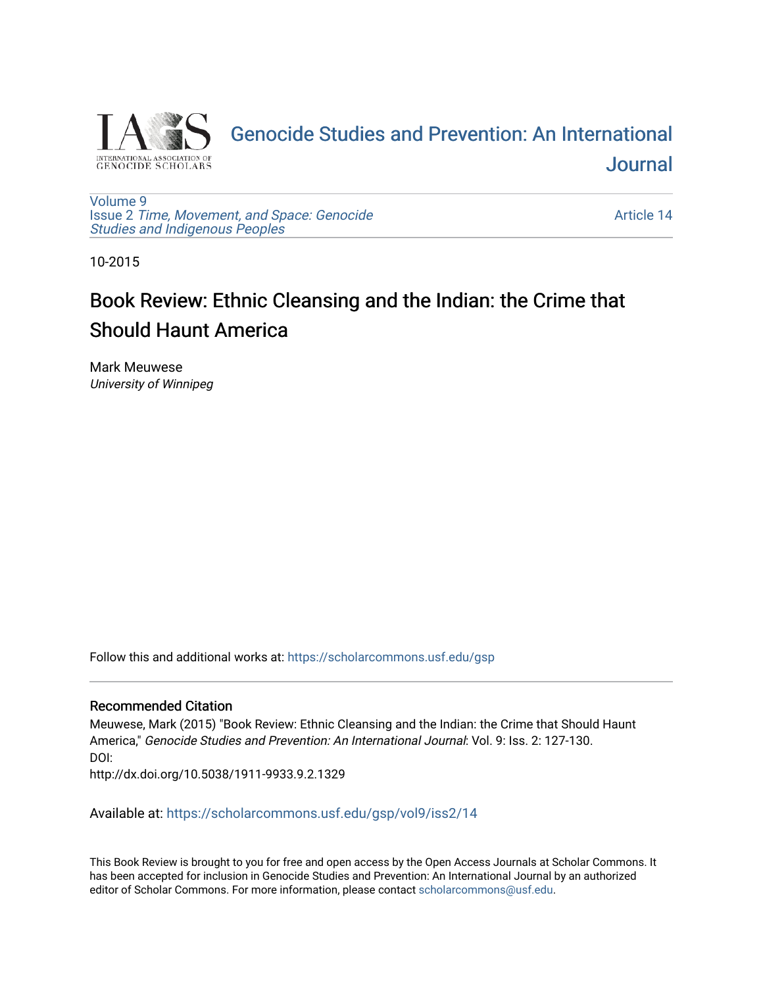

[Genocide Studies and Prevention: An International](https://scholarcommons.usf.edu/gsp)  [Journal](https://scholarcommons.usf.edu/gsp) 

[Volume 9](https://scholarcommons.usf.edu/gsp/vol9) Issue 2 [Time, Movement, and Space: Genocide](https://scholarcommons.usf.edu/gsp/vol9/iss2) [Studies and Indigenous Peoples](https://scholarcommons.usf.edu/gsp/vol9/iss2)

[Article 14](https://scholarcommons.usf.edu/gsp/vol9/iss2/14) 

10-2015

# Book Review: Ethnic Cleansing and the Indian: the Crime that Should Haunt America

Mark Meuwese University of Winnipeg

Follow this and additional works at: [https://scholarcommons.usf.edu/gsp](https://scholarcommons.usf.edu/gsp?utm_source=scholarcommons.usf.edu%2Fgsp%2Fvol9%2Fiss2%2F14&utm_medium=PDF&utm_campaign=PDFCoverPages)

## Recommended Citation

Meuwese, Mark (2015) "Book Review: Ethnic Cleansing and the Indian: the Crime that Should Haunt America," Genocide Studies and Prevention: An International Journal: Vol. 9: Iss. 2: 127-130. DOI:

http://dx.doi.org/10.5038/1911-9933.9.2.1329

Available at: [https://scholarcommons.usf.edu/gsp/vol9/iss2/14](https://scholarcommons.usf.edu/gsp/vol9/iss2/14?utm_source=scholarcommons.usf.edu%2Fgsp%2Fvol9%2Fiss2%2F14&utm_medium=PDF&utm_campaign=PDFCoverPages)

This Book Review is brought to you for free and open access by the Open Access Journals at Scholar Commons. It has been accepted for inclusion in Genocide Studies and Prevention: An International Journal by an authorized editor of Scholar Commons. For more information, please contact [scholarcommons@usf.edu.](mailto:scholarcommons@usf.edu)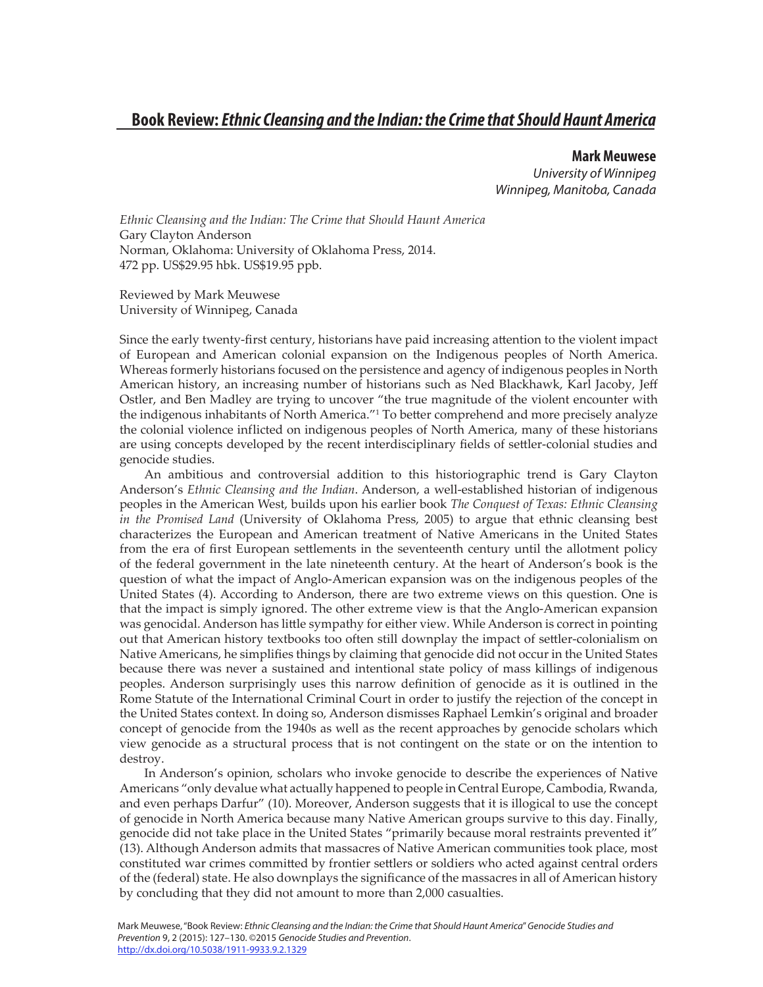**Mark Meuwese** *University of Winnipeg Winnipeg, Manitoba, Canada*

*Ethnic Cleansing and the Indian: The Crime that Should Haunt America*  Gary Clayton Anderson Norman, Oklahoma: University of Oklahoma Press, 2014. 472 pp. US\$29.95 hbk. US\$19.95 ppb.

Reviewed by Mark Meuwese University of Winnipeg, Canada

Since the early twenty-first century, historians have paid increasing attention to the violent impact of European and American colonial expansion on the Indigenous peoples of North America. Whereas formerly historians focused on the persistence and agency of indigenous peoples in North American history, an increasing number of historians such as Ned Blackhawk, Karl Jacoby, Jeff Ostler, and Ben Madley are trying to uncover "the true magnitude of the violent encounter with the indigenous inhabitants of North America."1 To better comprehend and more precisely analyze the colonial violence inflicted on indigenous peoples of North America, many of these historians are using concepts developed by the recent interdisciplinary fields of settler-colonial studies and genocide studies.

An ambitious and controversial addition to this historiographic trend is Gary Clayton Anderson's *Ethnic Cleansing and the Indian*. Anderson, a well-established historian of indigenous peoples in the American West, builds upon his earlier book *The Conquest of Texas: Ethnic Cleansing in the Promised Land* (University of Oklahoma Press, 2005) to argue that ethnic cleansing best characterizes the European and American treatment of Native Americans in the United States from the era of first European settlements in the seventeenth century until the allotment policy of the federal government in the late nineteenth century. At the heart of Anderson's book is the question of what the impact of Anglo-American expansion was on the indigenous peoples of the United States (4). According to Anderson, there are two extreme views on this question. One is that the impact is simply ignored. The other extreme view is that the Anglo-American expansion was genocidal. Anderson has little sympathy for either view. While Anderson is correct in pointing out that American history textbooks too often still downplay the impact of settler-colonialism on Native Americans, he simplifies things by claiming that genocide did not occur in the United States because there was never a sustained and intentional state policy of mass killings of indigenous peoples. Anderson surprisingly uses this narrow definition of genocide as it is outlined in the Rome Statute of the International Criminal Court in order to justify the rejection of the concept in the United States context. In doing so, Anderson dismisses Raphael Lemkin's original and broader concept of genocide from the 1940s as well as the recent approaches by genocide scholars which view genocide as a structural process that is not contingent on the state or on the intention to destroy.

In Anderson's opinion, scholars who invoke genocide to describe the experiences of Native Americans "only devalue what actually happened to people in Central Europe, Cambodia, Rwanda, and even perhaps Darfur" (10). Moreover, Anderson suggests that it is illogical to use the concept of genocide in North America because many Native American groups survive to this day. Finally, genocide did not take place in the United States "primarily because moral restraints prevented it" (13). Although Anderson admits that massacres of Native American communities took place, most constituted war crimes committed by frontier settlers or soldiers who acted against central orders of the (federal) state. He also downplays the significance of the massacres in all of American history by concluding that they did not amount to more than 2,000 casualties.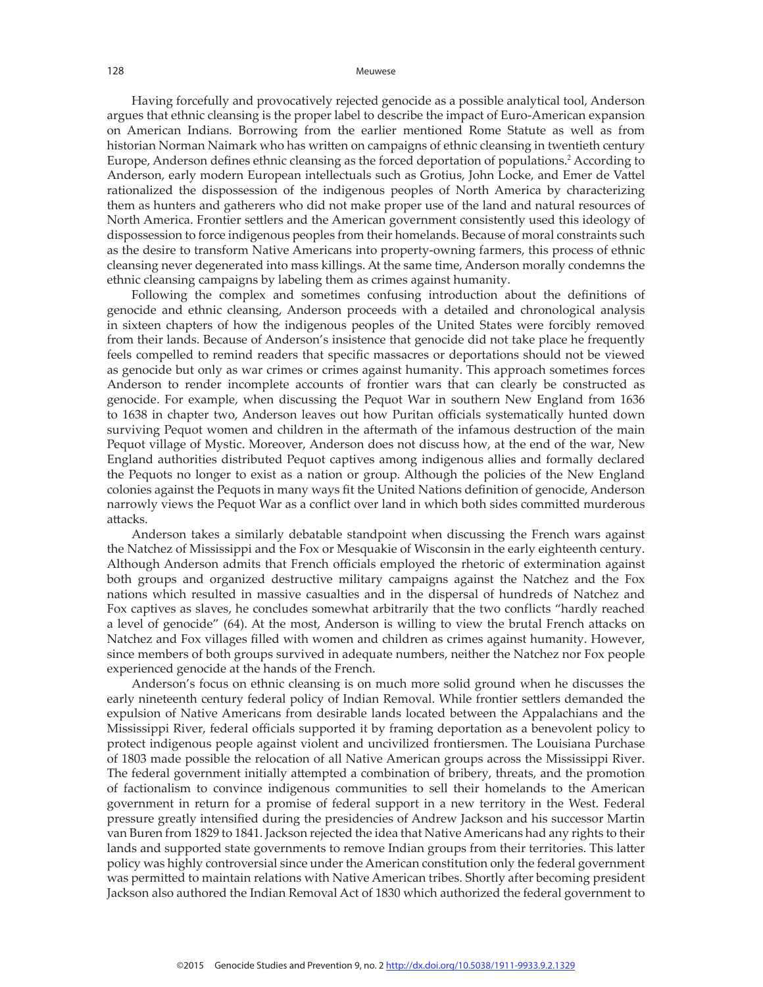#### Meuwese

Having forcefully and provocatively rejected genocide as a possible analytical tool, Anderson argues that ethnic cleansing is the proper label to describe the impact of Euro-American expansion on American Indians. Borrowing from the earlier mentioned Rome Statute as well as from historian Norman Naimark who has written on campaigns of ethnic cleansing in twentieth century Europe, Anderson defines ethnic cleansing as the forced deportation of populations.<sup>2</sup> According to Anderson, early modern European intellectuals such as Grotius, John Locke, and Emer de Vattel rationalized the dispossession of the indigenous peoples of North America by characterizing them as hunters and gatherers who did not make proper use of the land and natural resources of North America. Frontier settlers and the American government consistently used this ideology of dispossession to force indigenous peoples from their homelands. Because of moral constraints such as the desire to transform Native Americans into property-owning farmers, this process of ethnic cleansing never degenerated into mass killings. At the same time, Anderson morally condemns the ethnic cleansing campaigns by labeling them as crimes against humanity.

Following the complex and sometimes confusing introduction about the definitions of genocide and ethnic cleansing, Anderson proceeds with a detailed and chronological analysis in sixteen chapters of how the indigenous peoples of the United States were forcibly removed from their lands. Because of Anderson's insistence that genocide did not take place he frequently feels compelled to remind readers that specific massacres or deportations should not be viewed as genocide but only as war crimes or crimes against humanity. This approach sometimes forces Anderson to render incomplete accounts of frontier wars that can clearly be constructed as genocide. For example, when discussing the Pequot War in southern New England from 1636 to 1638 in chapter two, Anderson leaves out how Puritan officials systematically hunted down surviving Pequot women and children in the aftermath of the infamous destruction of the main Pequot village of Mystic. Moreover, Anderson does not discuss how, at the end of the war, New England authorities distributed Pequot captives among indigenous allies and formally declared the Pequots no longer to exist as a nation or group. Although the policies of the New England colonies against the Pequots in many ways fit the United Nations definition of genocide, Anderson narrowly views the Pequot War as a conflict over land in which both sides committed murderous attacks.

Anderson takes a similarly debatable standpoint when discussing the French wars against the Natchez of Mississippi and the Fox or Mesquakie of Wisconsin in the early eighteenth century. Although Anderson admits that French officials employed the rhetoric of extermination against both groups and organized destructive military campaigns against the Natchez and the Fox nations which resulted in massive casualties and in the dispersal of hundreds of Natchez and Fox captives as slaves, he concludes somewhat arbitrarily that the two conflicts "hardly reached a level of genocide" (64). At the most, Anderson is willing to view the brutal French attacks on Natchez and Fox villages filled with women and children as crimes against humanity. However, since members of both groups survived in adequate numbers, neither the Natchez nor Fox people experienced genocide at the hands of the French.

Anderson's focus on ethnic cleansing is on much more solid ground when he discusses the early nineteenth century federal policy of Indian Removal. While frontier settlers demanded the expulsion of Native Americans from desirable lands located between the Appalachians and the Mississippi River, federal officials supported it by framing deportation as a benevolent policy to protect indigenous people against violent and uncivilized frontiersmen. The Louisiana Purchase of 1803 made possible the relocation of all Native American groups across the Mississippi River. The federal government initially attempted a combination of bribery, threats, and the promotion of factionalism to convince indigenous communities to sell their homelands to the American government in return for a promise of federal support in a new territory in the West. Federal pressure greatly intensified during the presidencies of Andrew Jackson and his successor Martin van Buren from 1829 to 1841. Jackson rejected the idea that Native Americans had any rights to their lands and supported state governments to remove Indian groups from their territories. This latter policy was highly controversial since under the American constitution only the federal government was permitted to maintain relations with Native American tribes. Shortly after becoming president Jackson also authored the Indian Removal Act of 1830 which authorized the federal government to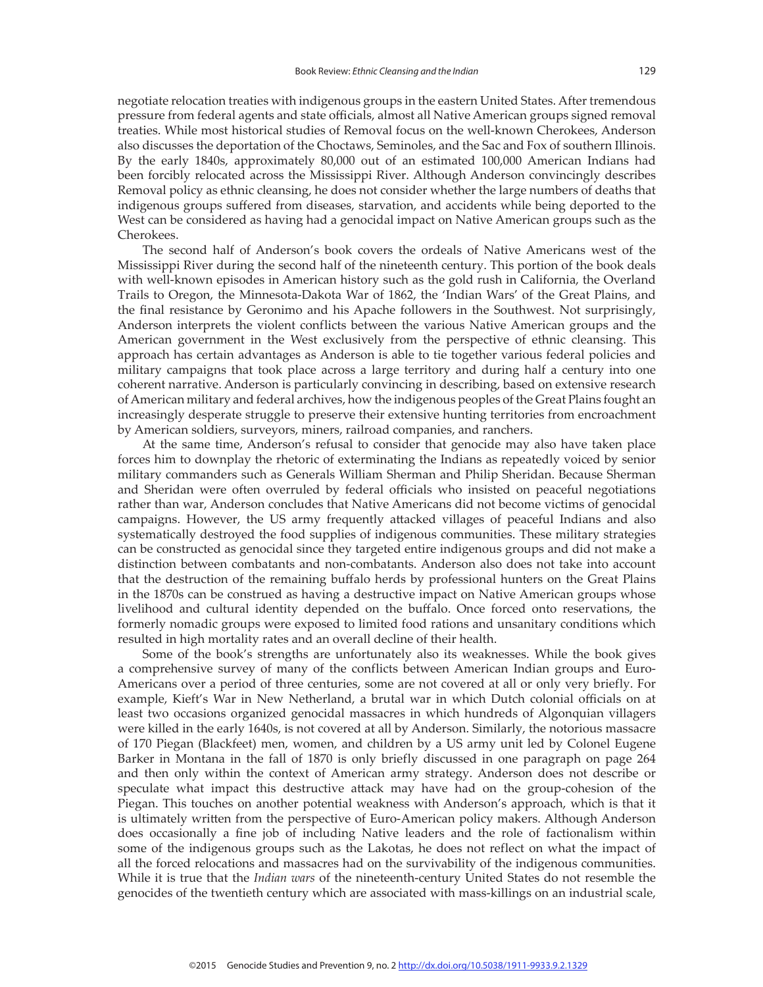negotiate relocation treaties with indigenous groups in the eastern United States. After tremendous pressure from federal agents and state officials, almost all Native American groups signed removal treaties. While most historical studies of Removal focus on the well-known Cherokees, Anderson also discusses the deportation of the Choctaws, Seminoles, and the Sac and Fox of southern Illinois. By the early 1840s, approximately 80,000 out of an estimated 100,000 American Indians had been forcibly relocated across the Mississippi River. Although Anderson convincingly describes Removal policy as ethnic cleansing, he does not consider whether the large numbers of deaths that indigenous groups suffered from diseases, starvation, and accidents while being deported to the West can be considered as having had a genocidal impact on Native American groups such as the Cherokees.

The second half of Anderson's book covers the ordeals of Native Americans west of the Mississippi River during the second half of the nineteenth century. This portion of the book deals with well-known episodes in American history such as the gold rush in California, the Overland Trails to Oregon, the Minnesota-Dakota War of 1862, the 'Indian Wars' of the Great Plains, and the final resistance by Geronimo and his Apache followers in the Southwest. Not surprisingly, Anderson interprets the violent conflicts between the various Native American groups and the American government in the West exclusively from the perspective of ethnic cleansing. This approach has certain advantages as Anderson is able to tie together various federal policies and military campaigns that took place across a large territory and during half a century into one coherent narrative. Anderson is particularly convincing in describing, based on extensive research of American military and federal archives, how the indigenous peoples of the Great Plains fought an increasingly desperate struggle to preserve their extensive hunting territories from encroachment by American soldiers, surveyors, miners, railroad companies, and ranchers.

At the same time, Anderson's refusal to consider that genocide may also have taken place forces him to downplay the rhetoric of exterminating the Indians as repeatedly voiced by senior military commanders such as Generals William Sherman and Philip Sheridan. Because Sherman and Sheridan were often overruled by federal officials who insisted on peaceful negotiations rather than war, Anderson concludes that Native Americans did not become victims of genocidal campaigns. However, the US army frequently attacked villages of peaceful Indians and also systematically destroyed the food supplies of indigenous communities. These military strategies can be constructed as genocidal since they targeted entire indigenous groups and did not make a distinction between combatants and non-combatants. Anderson also does not take into account that the destruction of the remaining buffalo herds by professional hunters on the Great Plains in the 1870s can be construed as having a destructive impact on Native American groups whose livelihood and cultural identity depended on the buffalo. Once forced onto reservations, the formerly nomadic groups were exposed to limited food rations and unsanitary conditions which resulted in high mortality rates and an overall decline of their health.

Some of the book's strengths are unfortunately also its weaknesses. While the book gives a comprehensive survey of many of the conflicts between American Indian groups and Euro-Americans over a period of three centuries, some are not covered at all or only very briefly. For example, Kieft's War in New Netherland, a brutal war in which Dutch colonial officials on at least two occasions organized genocidal massacres in which hundreds of Algonquian villagers were killed in the early 1640s, is not covered at all by Anderson. Similarly, the notorious massacre of 170 Piegan (Blackfeet) men, women, and children by a US army unit led by Colonel Eugene Barker in Montana in the fall of 1870 is only briefly discussed in one paragraph on page 264 and then only within the context of American army strategy. Anderson does not describe or speculate what impact this destructive attack may have had on the group-cohesion of the Piegan. This touches on another potential weakness with Anderson's approach, which is that it is ultimately written from the perspective of Euro-American policy makers. Although Anderson does occasionally a fine job of including Native leaders and the role of factionalism within some of the indigenous groups such as the Lakotas, he does not reflect on what the impact of all the forced relocations and massacres had on the survivability of the indigenous communities. While it is true that the *Indian wars* of the nineteenth-century United States do not resemble the genocides of the twentieth century which are associated with mass-killings on an industrial scale,